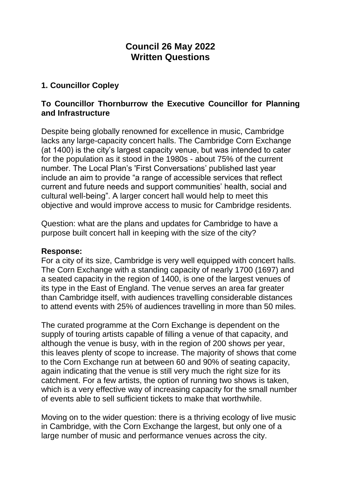# **Council 26 May 2022 Written Questions**

## **1. Councillor Copley**

### **To Councillor Thornburrow the Executive Councillor for Planning and Infrastructure**

Despite being globally renowned for excellence in music, Cambridge lacks any large-capacity concert halls. The Cambridge Corn Exchange (at 1400) is the city's largest capacity venue, but was intended to cater for the population as it stood in the 1980s - about 75% of the current number. The Local Plan's 'First Conversations' published last year include an aim to provide "a range of accessible services that reflect current and future needs and support communities' health, social and cultural well-being". A larger concert hall would help to meet this objective and would improve access to music for Cambridge residents.

Question: what are the plans and updates for Cambridge to have a purpose built concert hall in keeping with the size of the city?

#### **Response:**

For a city of its size, Cambridge is very well equipped with concert halls. The Corn Exchange with a standing capacity of nearly 1700 (1697) and a seated capacity in the region of 1400, is one of the largest venues of its type in the East of England. The venue serves an area far greater than Cambridge itself, with audiences travelling considerable distances to attend events with 25% of audiences travelling in more than 50 miles.

The curated programme at the Corn Exchange is dependent on the supply of touring artists capable of filling a venue of that capacity, and although the venue is busy, with in the region of 200 shows per year, this leaves plenty of scope to increase. The majority of shows that come to the Corn Exchange run at between 60 and 90% of seating capacity, again indicating that the venue is still very much the right size for its catchment. For a few artists, the option of running two shows is taken, which is a very effective way of increasing capacity for the small number of events able to sell sufficient tickets to make that worthwhile.

Moving on to the wider question: there is a thriving ecology of live music in Cambridge, with the Corn Exchange the largest, but only one of a large number of music and performance venues across the city.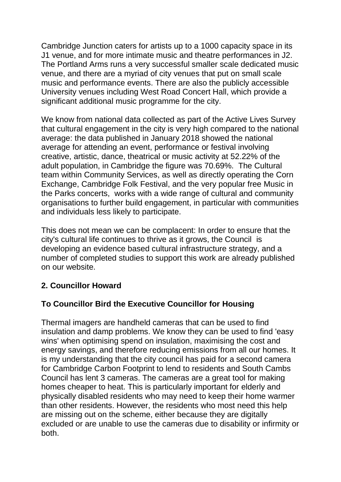Cambridge Junction caters for artists up to a 1000 capacity space in its J1 venue, and for more intimate music and theatre performances in J2. The Portland Arms runs a very successful smaller scale dedicated music venue, and there are a myriad of city venues that put on small scale music and performance events. There are also the publicly accessible University venues including West Road Concert Hall, which provide a significant additional music programme for the city.

We know from national data collected as part of the Active Lives Survey that cultural engagement in the city is very high compared to the national average: the data published in January 2018 showed the national average for attending an event, performance or festival involving creative, artistic, dance, theatrical or music activity at 52.22% of the adult population, in Cambridge the figure was 70.69%. The Cultural team within Community Services, as well as directly operating the Corn Exchange, Cambridge Folk Festival, and the very popular free Music in the Parks concerts, works with a wide range of cultural and community organisations to further build engagement, in particular with communities and individuals less likely to participate.

This does not mean we can be complacent: In order to ensure that the city's cultural life continues to thrive as it grows, the Council is developing an evidence based cultural infrastructure strategy, and a number of completed studies to support this work are already published on our website.

# **2. Councillor Howard**

# **To Councillor Bird the Executive Councillor for Housing**

Thermal imagers are handheld cameras that can be used to find insulation and damp problems. We know they can be used to find 'easy wins' when optimising spend on insulation, maximising the cost and energy savings, and therefore reducing emissions from all our homes. It is my understanding that the city council has paid for a second camera for Cambridge Carbon Footprint to lend to residents and South Cambs Council has lent 3 cameras. The cameras are a great tool for making homes cheaper to heat. This is particularly important for elderly and physically disabled residents who may need to keep their home warmer than other residents. However, the residents who most need this help are missing out on the scheme, either because they are digitally excluded or are unable to use the cameras due to disability or infirmity or both.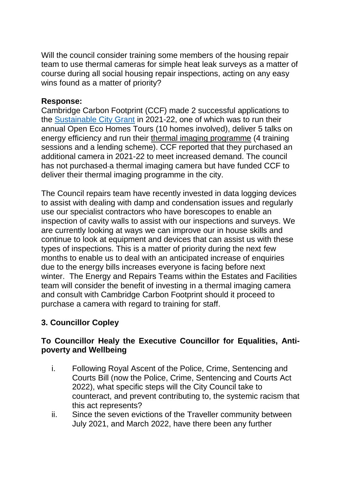Will the council consider training some members of the housing repair team to use thermal cameras for simple heat leak surveys as a matter of course during all social housing repair inspections, acting on any easy wins found as a matter of priority?

#### **Response:**

Cambridge Carbon Footprint (CCF) made 2 successful applications to the [Sustainable City Grant](http://www.cambridge.gov.uk/apply-for-a-sustainable-city-grant) in 2021-22, one of which was to run their annual Open Eco Homes Tours (10 homes involved), deliver 5 talks on energy efficiency and run their thermal imaging programme (4 training sessions and a lending scheme). CCF reported that they purchased an additional camera in 2021-22 to meet increased demand. The council has not purchased a thermal imaging camera but have funded CCF to deliver their thermal imaging programme in the city.

The Council repairs team have recently invested in data logging devices to assist with dealing with damp and condensation issues and regularly use our specialist contractors who have borescopes to enable an inspection of cavity walls to assist with our inspections and surveys. We are currently looking at ways we can improve our in house skills and continue to look at equipment and devices that can assist us with these types of inspections. This is a matter of priority during the next few months to enable us to deal with an anticipated increase of enquiries due to the energy bills increases everyone is facing before next winter. The Energy and Repairs Teams within the Estates and Facilities team will consider the benefit of investing in a thermal imaging camera and consult with Cambridge Carbon Footprint should it proceed to purchase a camera with regard to training for staff.

# **3. Councillor Copley**

### **To Councillor Healy the Executive Councillor for Equalities, Antipoverty and Wellbeing**

- i. Following Royal Ascent of the Police, Crime, Sentencing and Courts Bill (now the Police, Crime, Sentencing and Courts Act 2022), what specific steps will the City Council take to counteract, and prevent contributing to, the systemic racism that this act represents?
- ii. Since the seven evictions of the Traveller community between July 2021, and March 2022, have there been any further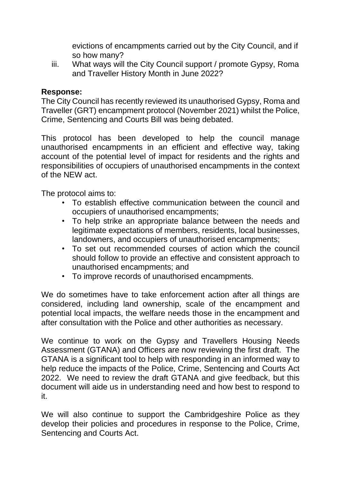evictions of encampments carried out by the City Council, and if so how many?

iii. What ways will the City Council support / promote Gypsy, Roma and Traveller History Month in June 2022?

### **Response:**

The City Council has recently reviewed its unauthorised Gypsy, Roma and Traveller (GRT) encampment protocol (November 2021) whilst the Police, Crime, Sentencing and Courts Bill was being debated.

This protocol has been developed to help the council manage unauthorised encampments in an efficient and effective way, taking account of the potential level of impact for residents and the rights and responsibilities of occupiers of unauthorised encampments in the context of the NEW act.

The protocol aims to:

- To establish effective communication between the council and occupiers of unauthorised encampments;
- To help strike an appropriate balance between the needs and legitimate expectations of members, residents, local businesses, landowners, and occupiers of unauthorised encampments;
- To set out recommended courses of action which the council should follow to provide an effective and consistent approach to unauthorised encampments; and
- To improve records of unauthorised encampments.

We do sometimes have to take enforcement action after all things are considered, including land ownership, scale of the encampment and potential local impacts, the welfare needs those in the encampment and after consultation with the Police and other authorities as necessary.

We continue to work on the Gypsy and Travellers Housing Needs Assessment (GTANA) and Officers are now reviewing the first draft. The GTANA is a significant tool to help with responding in an informed way to help reduce the impacts of the Police, Crime, Sentencing and Courts Act 2022. We need to review the draft GTANA and give feedback, but this document will aide us in understanding need and how best to respond to it.

We will also continue to support the Cambridgeshire Police as they develop their policies and procedures in response to the Police, Crime, Sentencing and Courts Act.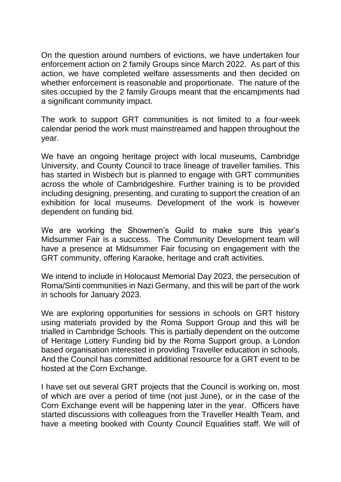On the question around numbers of evictions, we have undertaken four enforcement action on 2 family Groups since March 2022. As part of this action, we have completed welfare assessments and then decided on whether enforcement is reasonable and proportionate. The nature of the sites occupied by the 2 family Groups meant that the encampments had a significant community impact.

The work to support GRT communities is not limited to a four-week calendar period the work must mainstreamed and happen throughout the year.

We have an ongoing heritage project with local museums, Cambridge University, and County Council to trace lineage of traveller families. This has started in Wisbech but is planned to engage with GRT communities across the whole of Cambridgeshire. Further training is to be provided including designing, presenting, and curating to support the creation of an exhibition for local museums. Development of the work is however dependent on funding bid.

We are working the Showmen's Guild to make sure this year's Midsummer Fair is a success. The Community Development team will have a presence at Midsummer Fair focusing on engagement with the GRT community, offering Karaoke, heritage and craft activities.

We intend to include in Holocaust Memorial Day 2023, the persecution of Roma/Sinti communities in Nazi Germany, and this will be part of the work in schools for January 2023.

We are exploring opportunities for sessions in schools on GRT history using materials provided by the Roma Support Group and this will be trialled in Cambridge Schools. This is partially dependent on the outcome of Heritage Lottery Funding bid by the Roma Support group, a London based organisation interested in providing Traveller education in schools. And the Council has committed additional resource for a GRT event to be hosted at the Corn Exchange.

I have set out several GRT projects that the Council is working on, most of which are over a period of time (not just June), or in the case of the Corn Exchange event will be happening later in the year. Officers have started discussions with colleagues from the Traveller Health Team, and have a meeting booked with County Council Equalities staff. We will of